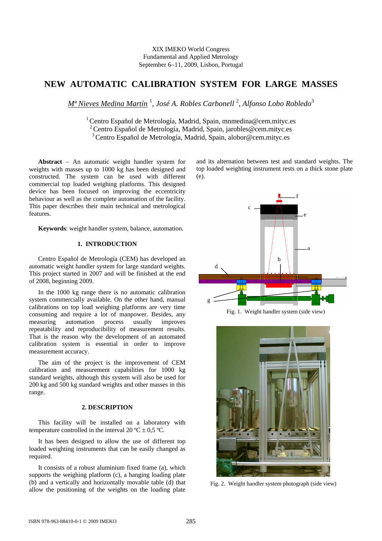## XIX IMEKO World Congress Fundamental and Applied Metrology September 6−11, 2009, Lisbon, Portugal

# **NEW AUTOMATIC CALIBRATION SYSTEM FOR LARGE MASSES**

*Mª Nieves Medina Martín* <sup>1</sup> , *José A. Robles Carbonell* <sup>2</sup> , *Alfonso Lobo Robledo*<sup>3</sup>

<sup>1</sup> Centro Español de Metrología, Madrid, Spain, mnmedina@cem.mityc.es  $2$  Centro Español de Metrología, Madrid, Spain, jarobles@cem.mityc.es 3 Centro Español de Metrología, Madrid, Spain, alobor@cem.mityc.es

**Abstract** − An automatic weight handler system for weights with masses up to 1000 kg has been designed and constructed. The system can be used with different commercial top loaded weighing platforms. This designed device has been focused on improving the eccentricity behaviour as well as the complete automation of the facility. This paper describes their main technical and metrological features.

**Keywords**: weight handler system, balance, automation.

## **1. INTRODUCTION**

Centro Español de Metrología (CEM) has developed an automatic weight handler system for large standard weights. This project started in 2007 and will be finished at the end of 2008, beginning 2009.

In the 1000 kg range there is no automatic calibration system commercially available. On the other hand, manual calibrations on top load weighing platforms are very time consuming and require a lot of manpower. Besides, any measuring automation process usually improves repeatability and reproducibility of measurement results. That is the reason why the development of an automated calibration system is essential in order to improve measurement accuracy.

The aim of the project is the improvement of CEM calibration and measurement capabilities for 1000 kg standard weights, although this system will also be used for 200 kg and 500 kg standard weights and other masses in this range.

## **2. DESCRIPTION**

This facility will be installed on a laboratory with temperature controlled in the interval 20  $^{\circ}$ C  $\pm$  0,5  $^{\circ}$ C.

It has been designed to allow the use of different top loaded weighting instruments that can be easily changed as required.

It consists of a robust aluminium fixed frame (a), which supports the weighing platform (c), a hanging loading plate (b) and a vertically and horizontally movable table (d) that allow the positioning of the weights on the loading plate

and its alternation between test and standard weights. The top loaded weighting instrument rests on a thick stone plate (e).



Fig. 1. Weight handler system (side view)



Fig. 2. Weight handler system photograph (side view)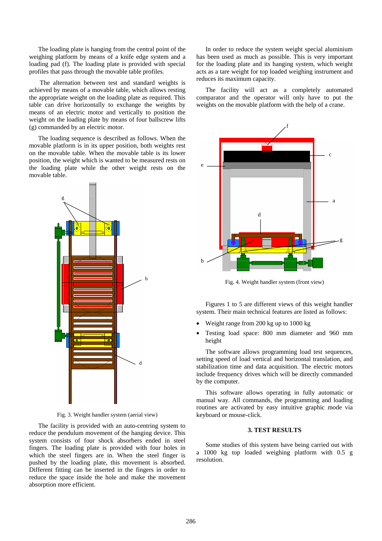The loading plate is hanging from the central point of the weighing platform by means of a knife edge system and a loading pad (f). The loading plate is provided with special profiles that pass through the movable table profiles.

 The alternation between test and standard weights is achieved by means of a movable table, which allows resting the appropriate weight on the loading plate as required. This table can drive horizontally to exchange the weights by means of an electric motor and vertically to position the weight on the loading plate by means of four ballscrew lifts (g) commanded by an electric motor.

The loading sequence is described as follows. When the movable platform is in its upper position, both weights rest on the movable table. When the movable table is its lower position, the weight which is wanted to be measured rests on the loading plate while the other weight rests on the movable table.



Fig. 3. Weight handler system (aerial view)

The facility is provided with an auto-centring system to reduce the pendulum movement of the hanging device. This system consists of four shock absorbers ended in steel fingers. The loading plate is provided with four holes in which the steel fingers are in. When the steel finger is pushed by the loading plate, this movement is absorbed. Different fitting can be inserted in the fingers in order to reduce the space inside the hole and make the movement absorption more efficient.

In order to reduce the system weight special aluminium has been used as much as possible. This is very important for the loading plate and its hanging system, which weight acts as a tare weight for top loaded weighing instrument and reduces its maximum capacity.

The facility will act as a completely automated comparator and the operator will only have to put the weights on the movable platform with the help of a crane.



Fig. 4. Weight handler system (front view)

Figures 1 to 5 are different views of this weight handler system. Their main technical features are listed as follows:

- Weight range from 200 kg up to 1000 kg
- Testing load space: 800 mm diameter and 960 mm height

The software allows programming load test sequences, setting speed of load vertical and horizontal translation, and stabilization time and data acquisition. The electric motors include frequency drives which will be directly commanded by the computer.

This software allows operating in fully automatic or manual way. All commands, the programming and loading routines are activated by easy intuitive graphic mode via keyboard or mouse-click.

#### **3. TEST RESULTS**

Some studies of this system have being carried out with a 1000 kg top loaded weighing platform with 0.5 g resolution.